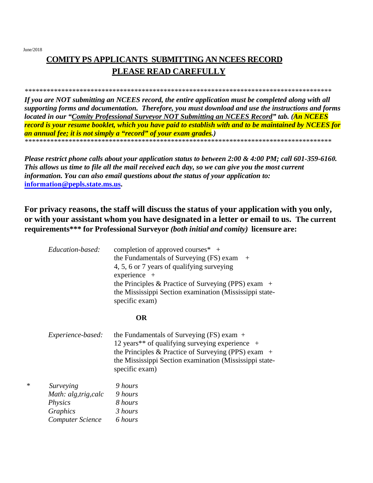$\ast$ 

# **COMITY PS APPLICANTS SUBMITTING AN NCEES RECORD** PLEASE READ CAREFULLY

#### 

If you are NOT submitting an NCEES record, the entire application must be completed along with all supporting forms and documentation. Therefore, you must download and use the instructions and forms located in our "Comity Professional Surveyor NOT Submitting an NCEES Record" tab. (An NCEES record is your resume booklet, which you have paid to establish with and to be maintained by NCEES for an annual fee; it is not simply a "record" of your exam grades.) 

Please restrict phone calls about your application status to between 2:00 & 4:00 PM; call 601-359-6160. This allows us time to file all the mail received each day, so we can give you the most current information. You can also email questions about the status of your application to: information@pepls.state.ms.us.

## For privacy reasons, the staff will discuss the status of your application with you only, or with your assistant whom you have designated in a letter or email to us. The current requirements\*\*\* for Professional Surveyor *(both initial and comity)* licensure are:

| Education-based:        | completion of approved courses $*$ +<br>the Fundamentals of Surveying $(FS)$ exam $+$<br>4, 5, 6 or 7 years of qualifying surveying<br>$experience +$<br>the Principles & Practice of Surveying (PPS) exam $+$<br>the Mississippi Section examination (Mississippi state-<br>specific exam) |
|-------------------------|---------------------------------------------------------------------------------------------------------------------------------------------------------------------------------------------------------------------------------------------------------------------------------------------|
|                         | <b>OR</b>                                                                                                                                                                                                                                                                                   |
| Experience-based:       | the Fundamentals of Surveying $(FS)$ exam $+$<br>12 years** of qualifying surveying experience $+$<br>the Principles & Practice of Surveying (PPS) exam $+$<br>the Mississippi Section examination (Mississippi state-<br>specific exam)                                                    |
| Surveying               | 9 hours                                                                                                                                                                                                                                                                                     |
| Math: alg, trig, calc   | 9 hours                                                                                                                                                                                                                                                                                     |
| <i>Physics</i>          | 8 hours                                                                                                                                                                                                                                                                                     |
| Graphics                | 3 hours                                                                                                                                                                                                                                                                                     |
| <b>Computer Science</b> | 6 hours                                                                                                                                                                                                                                                                                     |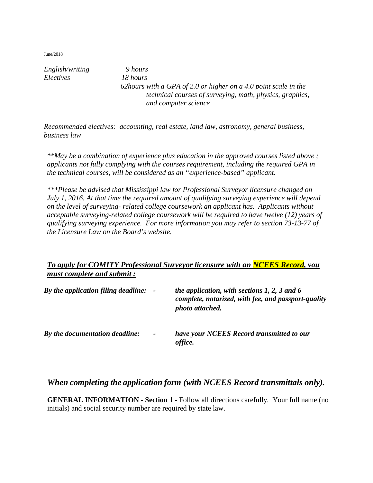*English/writing 9 hours Electives 18 hours*

*62hours with a GPA of 2.0 or higher on a 4.0 point scale in the technical courses of surveying, math, physics, graphics, and computer science* 

*Recommended electives: accounting, real estate, land law, astronomy, general business, business law*

*\*\*May be a combination of experience plus education in the approved courses listed above ; applicants not fully complying with the courses requirement, including the required GPA in the technical courses, will be considered as an "experience-based" applicant.*

*\*\*\*Please be advised that Mississippi law for Professional Surveyor licensure changed on July 1, 2016. At that time the required amount of qualifying surveying experience will depend on the level of surveying- related college coursework an applicant has. Applicants without acceptable surveying-related college coursework will be required to have twelve (12) years of qualifying surveying experience. For more information you may refer to section 73-13-77 of the Licensure Law on the Board's website.* 

### *To apply for COMITY Professional Surveyor licensure with an NCEES Record, you must complete and submit :*

| By the application filing deadline: - |                | the application, with sections $1, 2, 3$ and 6<br>complete, notarized, with fee, and passport-quality<br>photo attached. |
|---------------------------------------|----------------|--------------------------------------------------------------------------------------------------------------------------|
| By the documentation deadline:        | $\blacksquare$ | have your NCEES Record transmitted to our<br>office.                                                                     |

### *When completing the application form (with NCEES Record transmittals only).*

**GENERAL INFORMATION - Section 1** - Follow all directions carefully. Your full name (no initials) and social security number are required by state law.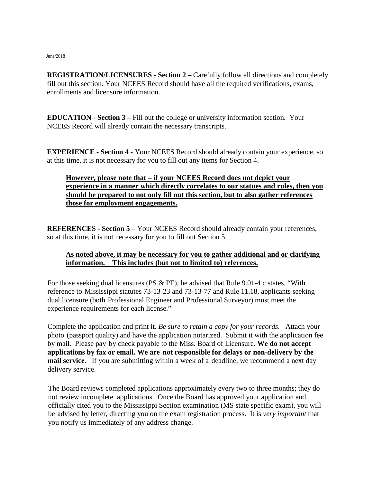**REGISTRATION/LICENSURES - Section 2 – Carefully follow all directions and completely** fill out this section. Your NCEES Record should have all the required verifications, exams, enrollments and licensure information.

**EDUCATION - Section 3 –** Fill out the college or university information section. Your NCEES Record will already contain the necessary transcripts.

**EXPERIENCE - Section 4** - Your NCEES Record should already contain your experience, so at this time, it is not necessary for you to fill out any items for Section 4.

### **However, please note that – if your NCEES Record does not depict your experience in a manner which directly correlates to our statues and rules, then you should be prepared to not only fill out this section, but to also gather references those for employment engagements.**

**REFERENCES - Section 5** – Your NCEES Record should already contain your references, so at this time, it is not necessary for you to fill out Section 5.

### **As noted above, it may be necessary for you to gather additional and or clarifying information. This includes (but not to limited to) references.**

For those seeking dual licensures (PS & PE), be advised that Rule 9.01-4 c states, "With reference to Mississippi statutes 73-13-23 and 73-13-77 and Rule 11.18, applicants seeking dual licensure (both Professional Engineer and Professional Surveyor) must meet the experience requirements for each license."

Complete the application and print it. *Be sure to retain a copy for your records.* Attach your photo (passport quality) and have the application notarized. Submit it with the application fee by mail. Please pay by check payable to the Miss. Board of Licensure. **We do not accept applications by fax or email. We are not responsible for delays or non-delivery by the mail service.** If you are submitting within a week of a deadline, we recommend a next day delivery service.

The Board reviews completed applications approximately every two to three months; they do not review incomplete applications. Once the Board has approved your application and officially cited you to the Mississippi Section examination (MS state specific exam), you will be advised by letter, directing you on the exam registration process. It is *very important* that you notify us immediately of any address change.